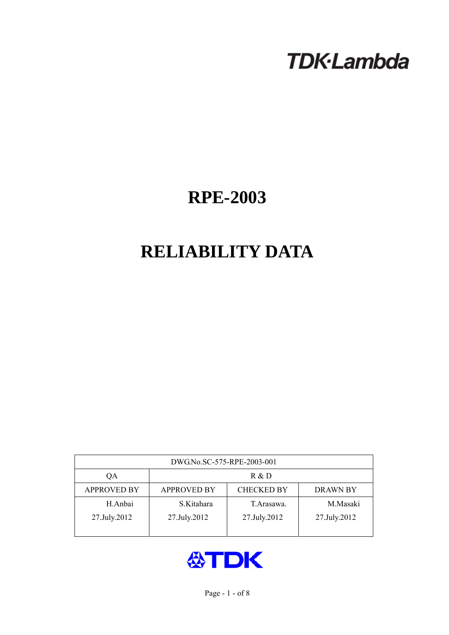# **TDK-Lambda**

## **RPE-2003**

## **RELIABILITY DATA**

| DWG.No.SC-575-RPE-2003-001 |                                                            |              |              |  |  |  |
|----------------------------|------------------------------------------------------------|--------------|--------------|--|--|--|
| QA                         | R & D                                                      |              |              |  |  |  |
| <b>APPROVED BY</b>         | <b>CHECKED BY</b><br><b>APPROVED BY</b><br><b>DRAWN BY</b> |              |              |  |  |  |
| H.Anbai                    | S.Kitahara                                                 | T. Arasawa.  | M.Masaki     |  |  |  |
| 27.July.2012               | 27.July.2012                                               | 27.July.2012 | 27.July.2012 |  |  |  |
|                            |                                                            |              |              |  |  |  |

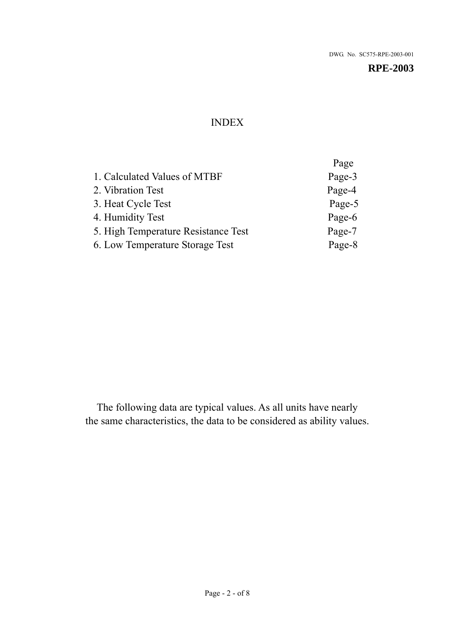## INDEX

|                                     | Page   |
|-------------------------------------|--------|
| 1. Calculated Values of MTBF        | Page-3 |
| 2. Vibration Test                   | Page-4 |
| 3. Heat Cycle Test                  | Page-5 |
| 4. Humidity Test                    | Page-6 |
| 5. High Temperature Resistance Test | Page-7 |
| 6. Low Temperature Storage Test     | Page-8 |
|                                     |        |

The following data are typical values. As all units have nearly the same characteristics, the data to be considered as ability values.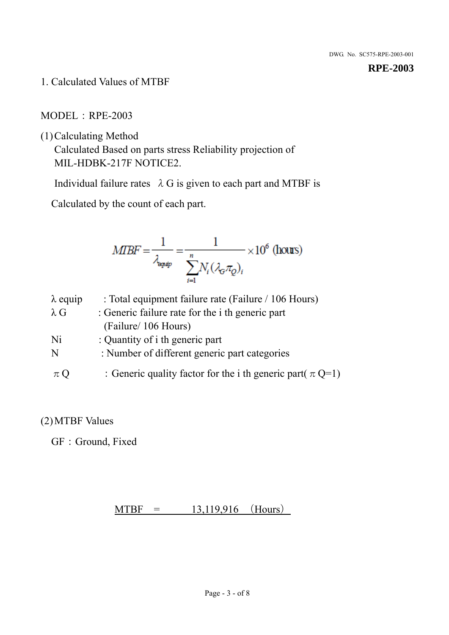1. Calculated Values of MTBF

## MODEL:RPE-2003

(1)Calculating Method

Calculated Based on parts stress Reliability projection of MIL-HDBK-217F NOTICE2.

Individual failure rates  $\lambda$  G is given to each part and MTBF is

Calculated by the count of each part.

$$
MIBF = \frac{1}{\lambda_{\text{expap}}} = \frac{1}{\sum_{i=1}^{n} N_i (\lambda_{\text{G}} \pi_Q)_i} \times 10^6 \text{ (hours)}
$$

| $\lambda$ equip | : Total equipment failure rate (Failure / 106 Hours)            |
|-----------------|-----------------------------------------------------------------|
| $\lambda$ G     | : Generic failure rate for the <i>i</i> th generic part         |
|                 | (Failure/ 106 Hours)                                            |
| Ni              | : Quantity of i th generic part                                 |
| N               | : Number of different generic part categories                   |
| $\pi Q$         | : Generic quality factor for the i th generic part( $\pi Q=1$ ) |

## (2)MTBF Values

GF: Ground, Fixed

## $MTBF = 13,119,916$  (Hours)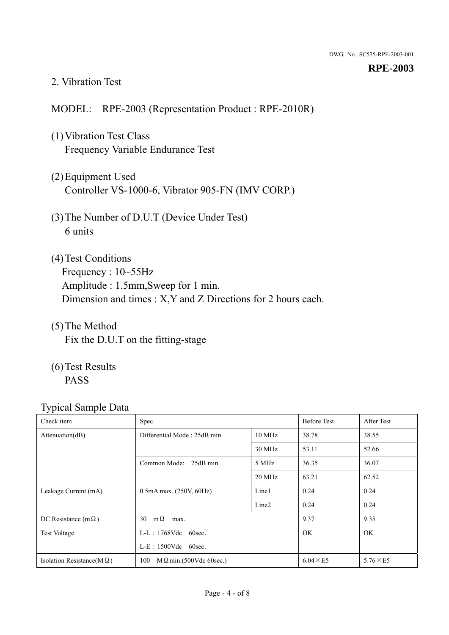#### 2. Vibration Test

## MODEL: RPE-2003 (Representation Product : RPE-2010R)

- (1)Vibration Test Class Frequency Variable Endurance Test
- (2)Equipment Used Controller VS-1000-6, Vibrator 905-FN (IMV CORP.)
- (3)The Number of D.U.T (Device Under Test) 6 units
- (4) Test Conditions Frequency : 10~55Hz Amplitude : 1.5mm,Sweep for 1 min. Dimension and times : X,Y and Z Directions for 2 hours each.
- (5)The Method Fix the D.U.T on the fitting-stage
- (6)Test Results PASS

| Check item                        | Spec.                                |                   | <b>Before Test</b> | After Test      |
|-----------------------------------|--------------------------------------|-------------------|--------------------|-----------------|
| Attenuation(dB)                   | Differential Mode: 25dB min.         | 10 MHz            | 38.78              | 38.55           |
|                                   |                                      | 30 MHz            | 53.11              | 52.66           |
|                                   | Common Mode: 25dB min.               | 5 MHz             | 36.35              | 36.07           |
|                                   |                                      | 20 MHz            | 63.21              | 62.52           |
| Leakage Current (mA)              | $0.5mA$ max. $(250V, 60Hz)$          | Line1             | 0.24               | 0.24            |
|                                   |                                      | Line <sub>2</sub> | 0.24               | 0.24            |
| DC Resistance (m $\Omega$ )       | $m\Omega$<br>30<br>max.              |                   | 9.37               | 9.35            |
| <b>Test Voltage</b>               | $L-L$ : 1768Vdc 60sec.               |                   | <b>OK</b>          | <b>OK</b>       |
|                                   | $L-E$ : 1500Vdc 60sec.               |                   |                    |                 |
| Isolation Resistance( $M\Omega$ ) | 100<br>$M\Omega$ min.(500Vdc 60sec.) |                   | $6.04 \times E5$   | $5.76\times E5$ |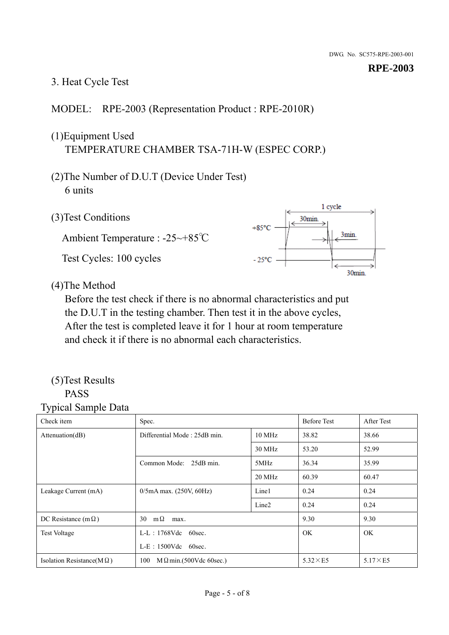## 3. Heat Cycle Test

## MODEL: RPE-2003 (Representation Product : RPE-2010R)

## (1)Equipment Used TEMPERATURE CHAMBER TSA-71H-W (ESPEC CORP.)

- (2)The Number of D.U.T (Device Under Test) 6 units
- 1 cycle (3)Test Conditions 30<sub>min</sub>  $+85^{\circ}$ C 3min. Ambient Temperature : -25~+85℃ Test Cycles: 100 cycles  $-25^{\circ}$ C 30min.

(4)The Method

Before the test check if there is no abnormal characteristics and put the D.U.T in the testing chamber. Then test it in the above cycles, After the test is completed leave it for 1 hour at room temperature and check it if there is no abnormal each characteristics.

#### (5)Test Results PASS

| ┙┸<br>$\mathbf{I}$<br>Check item  | Spec.                                  |                   | <b>Before Test</b> | After Test      |
|-----------------------------------|----------------------------------------|-------------------|--------------------|-----------------|
| Attention(dB)                     | Differential Mode: 25dB min.<br>10 MHz |                   | 38.82              | 38.66           |
|                                   |                                        | 30 MHz            | 53.20              | 52.99           |
|                                   | Common Mode: 25dB min.                 | 5MHz              | 36.34              | 35.99           |
|                                   |                                        | 20 MHz            | 60.39              | 60.47           |
| Leakage Current (mA)              | $0/5$ mA max. (250V, 60Hz)             | Line1             | 0.24               | 0.24            |
|                                   |                                        | Line <sub>2</sub> | 0.24               | 0.24            |
| DC Resistance (m $\Omega$ )       | $m\Omega$<br>30<br>max.                |                   | 9.30               | 9.30            |
| <b>Test Voltage</b>               | $L-L$ : 1768Vdc 60sec.                 |                   | OK.                | OK.             |
|                                   | $L-E$ : 1500Vdc 60sec.                 |                   |                    |                 |
| Isolation Resistance(M $\Omega$ ) | 100<br>$M\Omega$ min.(500Vdc 60sec.)   |                   | $5.32\times E5$    | $5.17\times E5$ |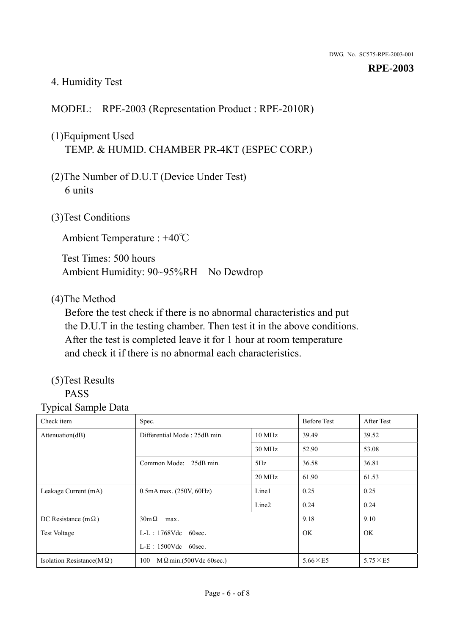## 4. Humidity Test

## MODEL: RPE-2003 (Representation Product : RPE-2010R)

## (1)Equipment Used TEMP. & HUMID. CHAMBER PR-4KT (ESPEC CORP.)

- (2)The Number of D.U.T (Device Under Test) 6 units
- (3)Test Conditions

Ambient Temperature : +40℃

Test Times: 500 hours Ambient Humidity: 90~95%RH No Dewdrop

## (4)The Method

Before the test check if there is no abnormal characteristics and put the D.U.T in the testing chamber. Then test it in the above conditions. After the test is completed leave it for 1 hour at room temperature and check it if there is no abnormal each characteristics.

## (5)Test Results

## PASS

| . .<br>Check item                 | Spec.                                  |                   | <b>Before Test</b> | After Test      |
|-----------------------------------|----------------------------------------|-------------------|--------------------|-----------------|
| Attention(dB)                     | Differential Mode: 25dB min.<br>10 MHz |                   | 39.49              | 39.52           |
|                                   |                                        | 30 MHz            | 52.90              | 53.08           |
|                                   | Common Mode: 25dB min.                 | 5Hz               | 36.58              | 36.81           |
|                                   |                                        | 20 MHz            | 61.90              | 61.53           |
| Leakage Current (mA)              | $0.5mA$ max. $(250V, 60Hz)$            | Line1             | 0.25               | 0.25            |
|                                   |                                        | Line <sub>2</sub> | 0.24               | 0.24            |
| DC Resistance (m $\Omega$ )       | $30m\Omega$<br>max.                    |                   | 9.18               | 9.10            |
| <b>Test Voltage</b>               | $L-L$ : 1768Vdc 60sec.                 |                   | <b>OK</b>          | OK.             |
|                                   | $L-E$ : 1500Vdc 60sec.                 |                   |                    |                 |
| Isolation Resistance( $M\Omega$ ) | 100<br>$M \Omega$ min.(500Vdc 60sec.)  |                   | $5.66\times E5$    | $5.75\times E5$ |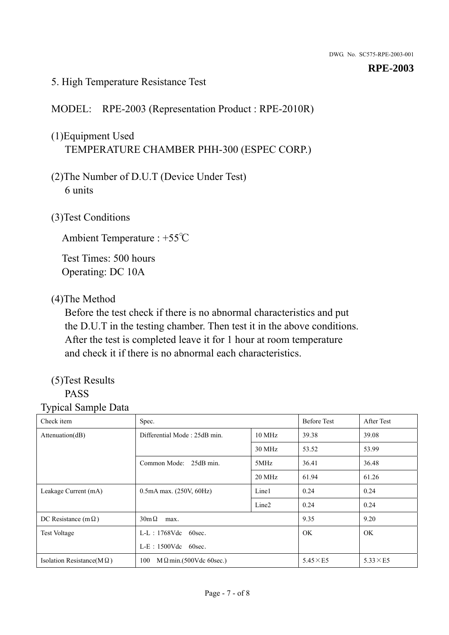#### 5. High Temperature Resistance Test

## MODEL: RPE-2003 (Representation Product : RPE-2010R)

## (1)Equipment Used TEMPERATURE CHAMBER PHH-300 (ESPEC CORP.)

- (2)The Number of D.U.T (Device Under Test) 6 units
- (3)Test Conditions

Ambient Temperature : +55℃

Test Times: 500 hours Operating: DC 10A

#### (4)The Method

Before the test check if there is no abnormal characteristics and put the D.U.T in the testing chamber. Then test it in the above conditions. After the test is completed leave it for 1 hour at room temperature and check it if there is no abnormal each characteristics.

## (5)Test Results

## PASS

| . .<br>Check item                 | Spec.                                  |                   | <b>Before Test</b> | After Test      |
|-----------------------------------|----------------------------------------|-------------------|--------------------|-----------------|
| Attention(dB)                     | Differential Mode: 25dB min.<br>10 MHz |                   | 39.38              | 39.08           |
|                                   |                                        | 30 MHz            | 53.52              | 53.99           |
|                                   | Common Mode: 25dB min.                 | 5MHz              | 36.41              | 36.48           |
|                                   |                                        | 20 MHz            | 61.94              | 61.26           |
| Leakage Current (mA)              | $0.5mA$ max. $(250V, 60Hz)$            | Line1             | 0.24               | 0.24            |
|                                   |                                        | Line <sub>2</sub> | 0.24               | 0.24            |
| DC Resistance (m $\Omega$ )       | $30m\Omega$<br>max.                    |                   | 9.35               | 9.20            |
| <b>Test Voltage</b>               | $L-L$ : 1768Vdc 60sec.                 |                   | <b>OK</b>          | OK.             |
|                                   | $L-E$ : 1500Vdc 60sec.                 |                   |                    |                 |
| Isolation Resistance( $M\Omega$ ) | 100<br>$M \Omega$ min.(500Vdc 60sec.)  |                   | $5.45\times E5$    | $5.33\times E5$ |